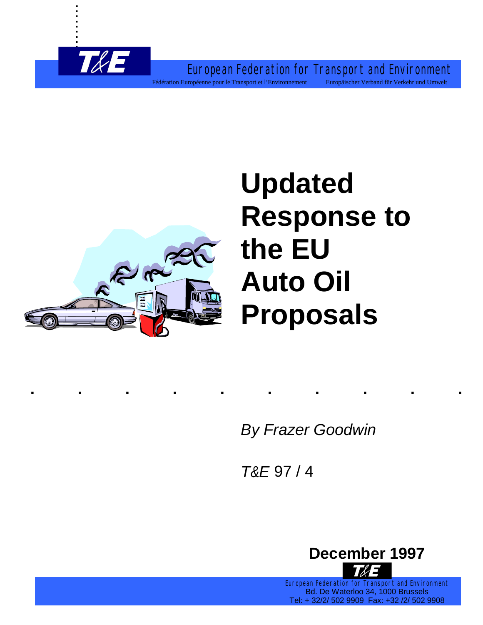European Federation for Transport and Environment Fédération Européenne pour le Transport et l'Environnement Europäischer Verband für Verkehr und Umwelt



. . . . . . . . .

# **Updated Response to the EU Auto Oil Proposals**

*By Frazer Goodwin*

*T&E* 97 / 4

..........



European Federation for Transport and Environment Bd. De Waterloo 34, 1000 Brussels Tel: + 32/2/ 502 9909 Fax: +32 /2/ 502 9908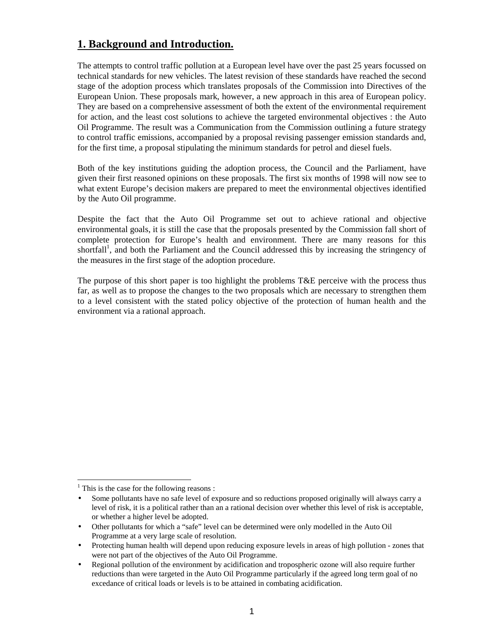## **1. Background and Introduction.**

The attempts to control traffic pollution at a European level have over the past 25 years focussed on technical standards for new vehicles. The latest revision of these standards have reached the second stage of the adoption process which translates proposals of the Commission into Directives of the European Union. These proposals mark, however, a new approach in this area of European policy. They are based on a comprehensive assessment of both the extent of the environmental requirement for action, and the least cost solutions to achieve the targeted environmental objectives : the Auto Oil Programme. The result was a Communication from the Commission outlining a future strategy to control traffic emissions, accompanied by a proposal revising passenger emission standards and, for the first time, a proposal stipulating the minimum standards for petrol and diesel fuels.

Both of the key institutions guiding the adoption process, the Council and the Parliament, have given their first reasoned opinions on these proposals. The first six months of 1998 will now see to what extent Europe's decision makers are prepared to meet the environmental objectives identified by the Auto Oil programme.

Despite the fact that the Auto Oil Programme set out to achieve rational and objective environmental goals, it is still the case that the proposals presented by the Commission fall short of complete protection for Europe's health and environment. There are many reasons for this shortfall<sup>1</sup>, and both the Parliament and the Council addressed this by increasing the stringency of the measures in the first stage of the adoption procedure.

The purpose of this short paper is too highlight the problems T&E perceive with the process thus far, as well as to propose the changes to the two proposals which are necessary to strengthen them to a level consistent with the stated policy objective of the protection of human health and the environment via a rational approach.

 $\overline{a}$ 

 $<sup>1</sup>$  This is the case for the following reasons :</sup>

<sup>•</sup> Some pollutants have no safe level of exposure and so reductions proposed originally will always carry a level of risk, it is a political rather than an a rational decision over whether this level of risk is acceptable, or whether a higher level be adopted.

<sup>•</sup> Other pollutants for which a "safe" level can be determined were only modelled in the Auto Oil Programme at a very large scale of resolution.

<sup>•</sup> Protecting human health will depend upon reducing exposure levels in areas of high pollution - zones that were not part of the objectives of the Auto Oil Programme.

<sup>•</sup> Regional pollution of the environment by acidification and tropospheric ozone will also require further reductions than were targeted in the Auto Oil Programme particularly if the agreed long term goal of no excedance of critical loads or levels is to be attained in combating acidification.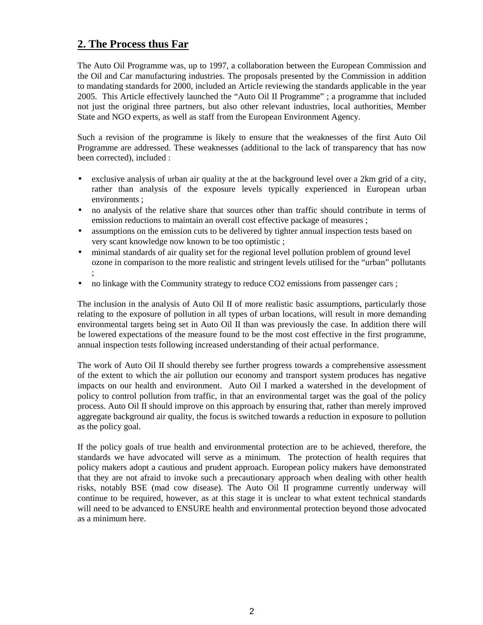## **2. The Process thus Far**

The Auto Oil Programme was, up to 1997, a collaboration between the European Commission and the Oil and Car manufacturing industries. The proposals presented by the Commission in addition to mandating standards for 2000, included an Article reviewing the standards applicable in the year 2005. This Article effectively launched the "Auto Oil II Programme" ; a programme that included not just the original three partners, but also other relevant industries, local authorities, Member State and NGO experts, as well as staff from the European Environment Agency.

Such a revision of the programme is likely to ensure that the weaknesses of the first Auto Oil Programme are addressed. These weaknesses (additional to the lack of transparency that has now been corrected), included :

- exclusive analysis of urban air quality at the at the background level over a 2km grid of a city, rather than analysis of the exposure levels typically experienced in European urban environments ;
- no analysis of the relative share that sources other than traffic should contribute in terms of emission reductions to maintain an overall cost effective package of measures ;
- assumptions on the emission cuts to be delivered by tighter annual inspection tests based on very scant knowledge now known to be too optimistic ;
- minimal standards of air quality set for the regional level pollution problem of ground level ozone in comparison to the more realistic and stringent levels utilised for the "urban" pollutants ;
- no linkage with the Community strategy to reduce CO2 emissions from passenger cars;

The inclusion in the analysis of Auto Oil II of more realistic basic assumptions, particularly those relating to the exposure of pollution in all types of urban locations, will result in more demanding environmental targets being set in Auto Oil II than was previously the case. In addition there will be lowered expectations of the measure found to be the most cost effective in the first programme, annual inspection tests following increased understanding of their actual performance.

The work of Auto Oil II should thereby see further progress towards a comprehensive assessment of the extent to which the air pollution our economy and transport system produces has negative impacts on our health and environment. Auto Oil I marked a watershed in the development of policy to control pollution from traffic, in that an environmental target was the goal of the policy process. Auto Oil II should improve on this approach by ensuring that, rather than merely improved aggregate background air quality, the focus is switched towards a reduction in exposure to pollution as the policy goal.

If the policy goals of true health and environmental protection are to be achieved, therefore, the standards we have advocated will serve as a minimum. The protection of health requires that policy makers adopt a cautious and prudent approach. European policy makers have demonstrated that they are not afraid to invoke such a precautionary approach when dealing with other health risks, notably BSE (mad cow disease). The Auto Oil II programme currently underway will continue to be required, however, as at this stage it is unclear to what extent technical standards will need to be advanced to ENSURE health and environmental protection beyond those advocated as a minimum here.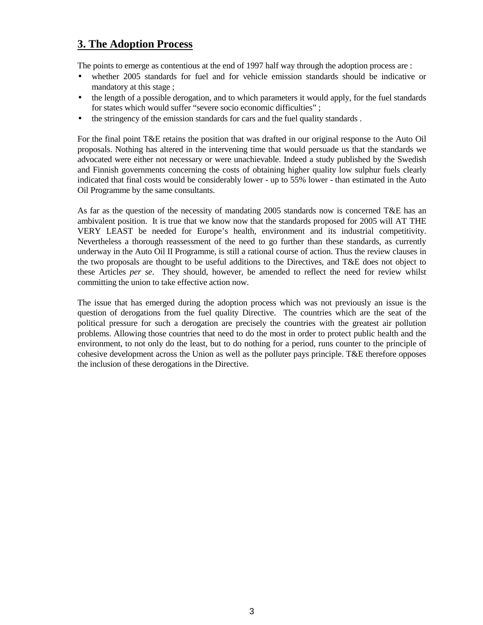# **3. The Adoption Process**

The points to emerge as contentious at the end of 1997 half way through the adoption process are :

- whether 2005 standards for fuel and for vehicle emission standards should be indicative or mandatory at this stage ;
- the length of a possible derogation, and to which parameters it would apply, for the fuel standards for states which would suffer "severe socio economic difficulties" ;
- the stringency of the emission standards for cars and the fuel quality standards .

For the final point T&E retains the position that was drafted in our original response to the Auto Oil proposals. Nothing has altered in the intervening time that would persuade us that the standards we advocated were either not necessary or were unachievable. Indeed a study published by the Swedish and Finnish governments concerning the costs of obtaining higher quality low sulphur fuels clearly indicated that final costs would be considerably lower - up to 55% lower - than estimated in the Auto Oil Programme by the same consultants.

As far as the question of the necessity of mandating 2005 standards now is concerned T&E has an ambivalent position. It is true that we know now that the standards proposed for 2005 will AT THE VERY LEAST be needed for Europe's health, environment and its industrial competitivity. Nevertheless a thorough reassessment of the need to go further than these standards, as currently underway in the Auto Oil II Programme, is still a rational course of action. Thus the review clauses in the two proposals are thought to be useful additions to the Directives, and T&E does not object to these Articles *per se*. They should, however, be amended to reflect the need for review whilst committing the union to take effective action now.

The issue that has emerged during the adoption process which was not previously an issue is the question of derogations from the fuel quality Directive. The countries which are the seat of the political pressure for such a derogation are precisely the countries with the greatest air pollution problems. Allowing those countries that need to do the most in order to protect public health and the environment, to not only do the least, but to do nothing for a period, runs counter to the principle of cohesive development across the Union as well as the polluter pays principle. T&E therefore opposes the inclusion of these derogations in the Directive.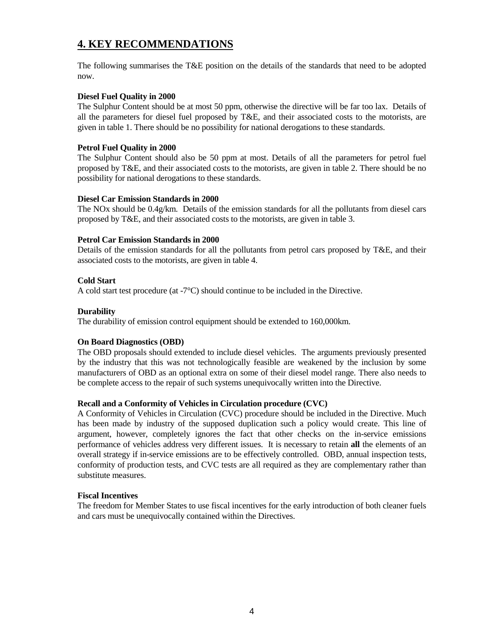# **4. KEY RECOMMENDATIONS**

The following summarises the T&E position on the details of the standards that need to be adopted now.

#### **Diesel Fuel Quality in 2000**

The Sulphur Content should be at most 50 ppm, otherwise the directive will be far too lax. Details of all the parameters for diesel fuel proposed by T&E, and their associated costs to the motorists, are given in table 1. There should be no possibility for national derogations to these standards.

#### **Petrol Fuel Quality in 2000**

The Sulphur Content should also be 50 ppm at most. Details of all the parameters for petrol fuel proposed by T&E, and their associated costs to the motorists, are given in table 2. There should be no possibility for national derogations to these standards.

#### **Diesel Car Emission Standards in 2000**

The NOx should be 0.4g/km. Details of the emission standards for all the pollutants from diesel cars proposed by T&E, and their associated costs to the motorists, are given in table 3.

#### **Petrol Car Emission Standards in 2000**

Details of the emission standards for all the pollutants from petrol cars proposed by T&E, and their associated costs to the motorists, are given in table 4.

#### **Cold Start**

A cold start test procedure (at -7°C) should continue to be included in the Directive.

#### **Durability**

The durability of emission control equipment should be extended to 160,000km.

#### **On Board Diagnostics (OBD)**

The OBD proposals should extended to include diesel vehicles. The arguments previously presented by the industry that this was not technologically feasible are weakened by the inclusion by some manufacturers of OBD as an optional extra on some of their diesel model range. There also needs to be complete access to the repair of such systems unequivocally written into the Directive.

### **Recall and a Conformity of Vehicles in Circulation procedure (CVC)**

A Conformity of Vehicles in Circulation (CVC) procedure should be included in the Directive. Much has been made by industry of the supposed duplication such a policy would create. This line of argument, however, completely ignores the fact that other checks on the in-service emissions performance of vehicles address very different issues. It is necessary to retain **all** the elements of an overall strategy if in-service emissions are to be effectively controlled. OBD, annual inspection tests, conformity of production tests, and CVC tests are all required as they are complementary rather than substitute measures.

### **Fiscal Incentives**

The freedom for Member States to use fiscal incentives for the early introduction of both cleaner fuels and cars must be unequivocally contained within the Directives.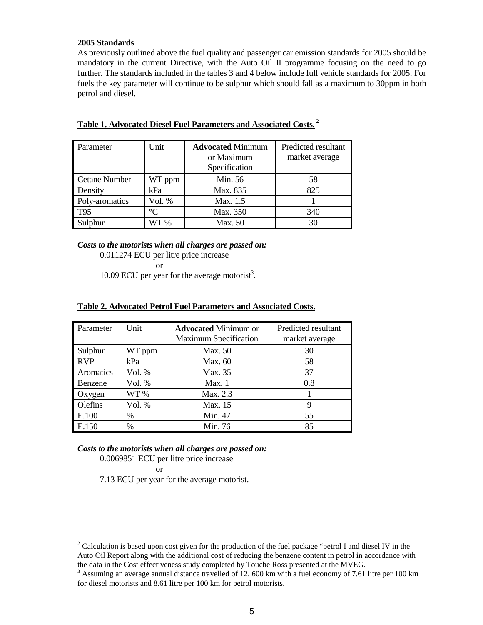#### **2005 Standards**

As previously outlined above the fuel quality and passenger car emission standards for 2005 should be mandatory in the current Directive, with the Auto Oil II programme focusing on the need to go further. The standards included in the tables 3 and 4 below include full vehicle standards for 2005. For fuels the key parameter will continue to be sulphur which should fall as a maximum to 30ppm in both petrol and diesel.

| Parameter            | Unit        | <b>Advocated Minimum</b><br>or Maximum<br>Specification | Predicted resultant<br>market average |
|----------------------|-------------|---------------------------------------------------------|---------------------------------------|
| <b>Cetane Number</b> | WT ppm      | Min. 56                                                 | 58                                    |
| Density              | kPa         | Max. 835                                                | 825                                   |
| Poly-aromatics       | Vol. %      | Max. 1.5                                                |                                       |
| T <sub>95</sub>      | $^{\circ}C$ | Max. 350                                                | 340                                   |
| Sulphur              | WT 96       | Max. 50                                                 | 30                                    |

## **Table 1. Advocated Diesel Fuel Parameters and Associated Costs.**<sup>2</sup>

*Costs to the motorists when all charges are passed on:* 0.011274 ECU per litre price increase or

10.09 ECU per year for the average motorist<sup>3</sup>.

| Parameter  | Unit   | <b>Advocated Minimum or</b><br><b>Maximum Specification</b> | Predicted resultant<br>market average |
|------------|--------|-------------------------------------------------------------|---------------------------------------|
| Sulphur    | WT ppm | Max. 50                                                     | 30                                    |
| <b>RVP</b> | kPa    | Max. 60                                                     | 58                                    |
| Aromatics  | Vol. % | Max. 35                                                     | 37                                    |
| Benzene    | Vol. % | Max.1                                                       | 0.8                                   |
| Oxygen     | WT %   | Max. 2.3                                                    |                                       |
| Olefins    | Vol. % | Max. 15                                                     |                                       |
| E.100      | %      | Min. 47                                                     | 55                                    |
| E.150      | $\%$   | Min. 76                                                     | 85                                    |

#### **Table 2. Advocated Petrol Fuel Parameters and Associated Costs.**

#### *Costs to the motorists when all charges are passed on:*

0.0069851 ECU per litre price increase

or

7.13 ECU per year for the average motorist.

<sup>&</sup>lt;sup>2</sup> Calculation is based upon cost given for the production of the fuel package "petrol I and diesel IV in the Auto Oil Report along with the additional cost of reducing the benzene content in petrol in accordance with the data in the Cost effectiveness study completed by Touche Ross presented at the MVEG.

 $3$  Assuming an average annual distance travelled of 12, 600 km with a fuel economy of 7.61 litre per 100 km for diesel motorists and 8.61 litre per 100 km for petrol motorists.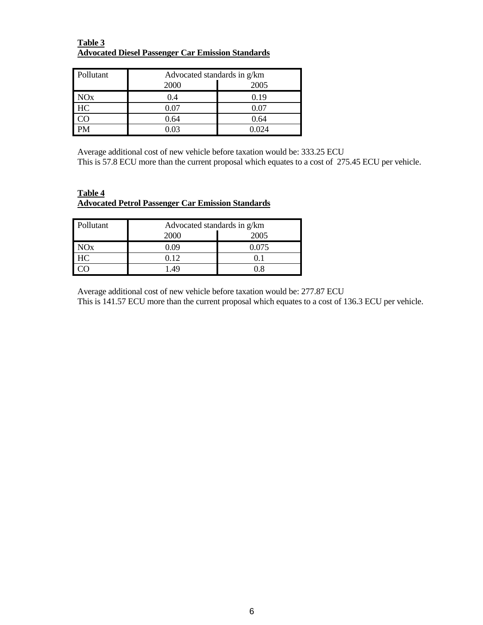#### **Table 3 Advocated Diesel Passenger Car Emission Standards**

| Pollutant | Advocated standards in g/km |            |  |
|-----------|-----------------------------|------------|--|
|           | 2000                        | 2005       |  |
| NOx       | 0.4                         | 0.19       |  |
| HC        | 0.07                        | $\rm 0.07$ |  |
|           | 0.64                        | 0.64       |  |
|           | ) 03                        | በ በ24      |  |

Average additional cost of new vehicle before taxation would be: 333.25 ECU This is 57.8 ECU more than the current proposal which equates to a cost of 275.45 ECU per vehicle.

#### **Table 4 Advocated Petrol Passenger Car Emission Standards**

| Pollutant | Advocated standards in g/km |       |  |
|-----------|-----------------------------|-------|--|
|           | 2000                        | 2005  |  |
| NOx       | ) ()9                       | 0.075 |  |
| HC        | 0.12                        |       |  |
|           | 49                          |       |  |

Average additional cost of new vehicle before taxation would be: 277.87 ECU

This is 141.57 ECU more than the current proposal which equates to a cost of 136.3 ECU per vehicle.